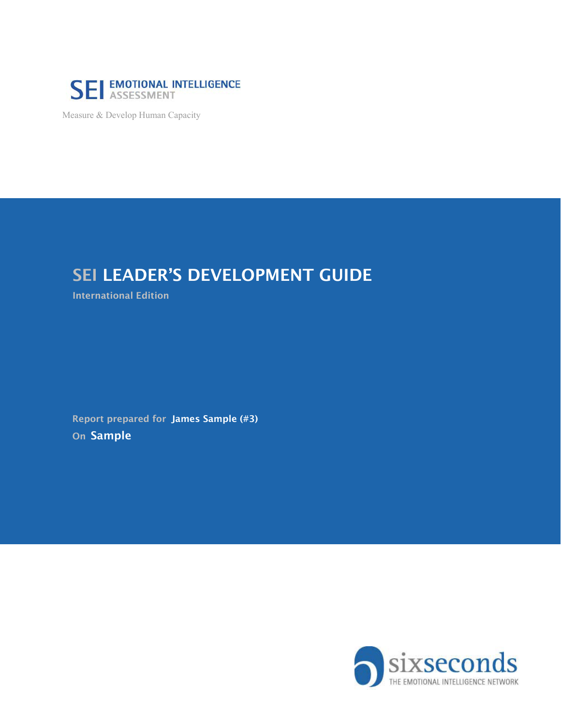

Measure & Develop Human Capacity

## SEI LEADER'S DEVELOPMENT GUIDE

International Edition

On Sample Report prepared for James Sample (#3)

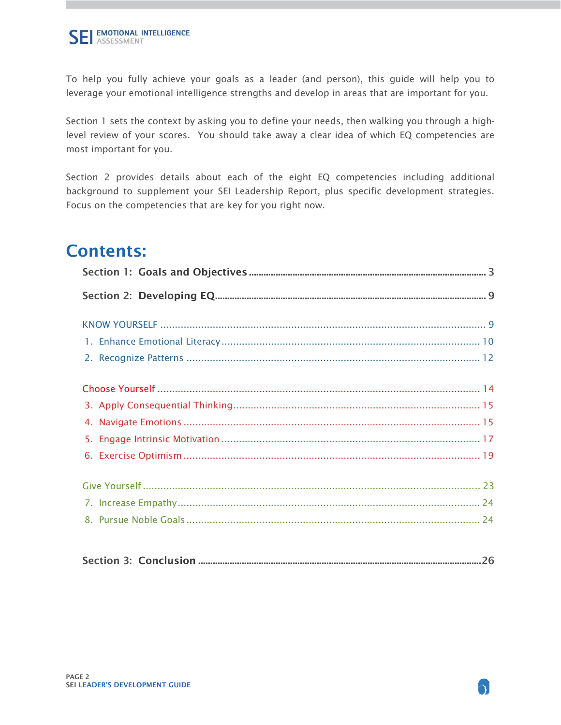To help you fully achieve your goals as a leader (and person), this guide will help you to leverage your emotional intelligence strengths and develop in areas that are important for you.

Section 1 sets the context by asking you to define your needs, then walking you through a highlevel review of your scores. You should take away a clear idea of which EQ competencies are most important for you.

Section 2 provides details about each of the eight EQ competencies including additional background to supplement your SEI Leadership Report, plus specific development strategies. Focus on the competencies that are key for you right now.

## Contents: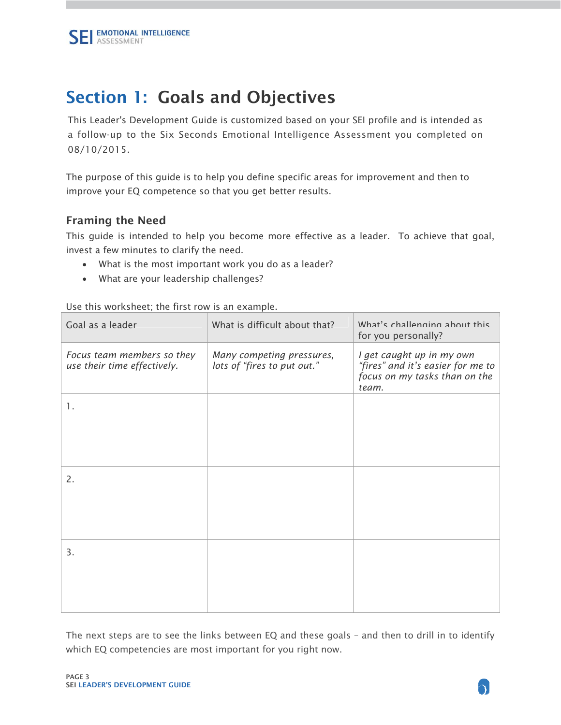# <span id="page-2-0"></span>Section 1: Goals and Objectives

This Leader's Development Guide is customized based on your SEI profile and is intended as a follow-up to the Six Seconds Emotional Intelligence Assessment you completed on 08/10/2015.

The purpose of this guide is to help you define specific areas for improvement and then to improve your EQ competence so that you get better results.

### Framing the Need

This guide is intended to help you become more effective as a leader. To achieve that goal, invest a few minutes to clarify the need.

- What is the most important work you do as a leader?
- What are your leadership challenges?

Use this worksheet; the first row is an example.

| Goal as a leader                                          | What is difficult about that?                            | What's challenging about this<br>for you personally?                                                     |
|-----------------------------------------------------------|----------------------------------------------------------|----------------------------------------------------------------------------------------------------------|
| Focus team members so they<br>use their time effectively. | Many competing pressures,<br>lots of "fires to put out." | I get caught up in my own<br>"fires" and it's easier for me to<br>focus on my tasks than on the<br>team. |
| 1.                                                        |                                                          |                                                                                                          |
|                                                           |                                                          |                                                                                                          |
|                                                           |                                                          |                                                                                                          |
| 2.                                                        |                                                          |                                                                                                          |
|                                                           |                                                          |                                                                                                          |
|                                                           |                                                          |                                                                                                          |
| 3.                                                        |                                                          |                                                                                                          |
|                                                           |                                                          |                                                                                                          |
|                                                           |                                                          |                                                                                                          |

The next steps are to see the links between EQ and these goals – and then to drill in to identify which EQ competencies are most important for you right now.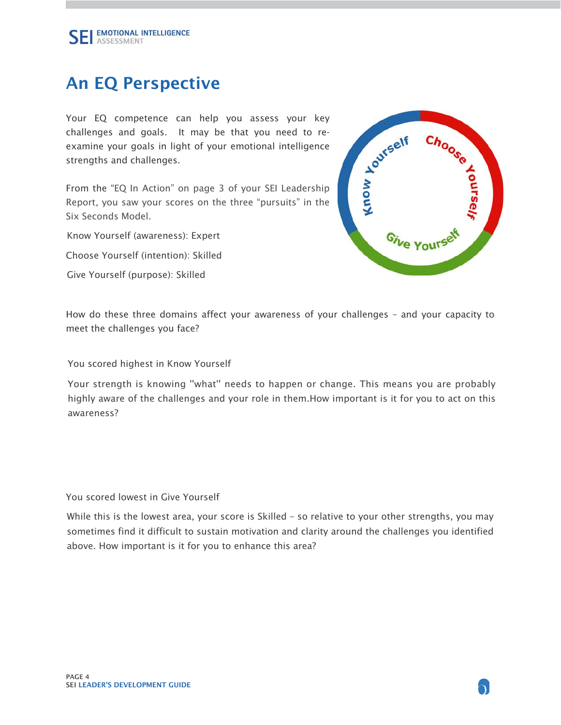# An EQ Perspective

Your EQ competence can help you assess your key challenges and goals. It may be that you need to reexamine your goals in light of your emotional intelligence strengths and challenges.

From the "EQ In Action" on page 3 of your SEI Leadership Report, you saw your scores on the three "pursuits" in the Six Seconds Model.

Know Yourself (awareness): Expert

Choose Yourself (intention): Skilled

Give Yourself (purpose): Skilled



How do these three domains affect your awareness of your challenges – and your capacity to meet the challenges you face?

You scored highest in Know Yourself

Your strength is knowing ''what'' needs to happen or change. This means you are probably highly aware of the challenges and your role in them.How important is it for you to act on this awareness?

You scored lowest in Give Yourself

While this is the lowest area, your score is Skilled - so relative to your other strengths, you may sometimes find it difficult to sustain motivation and clarity around the challenges you identified above. How important is it for you to enhance this area?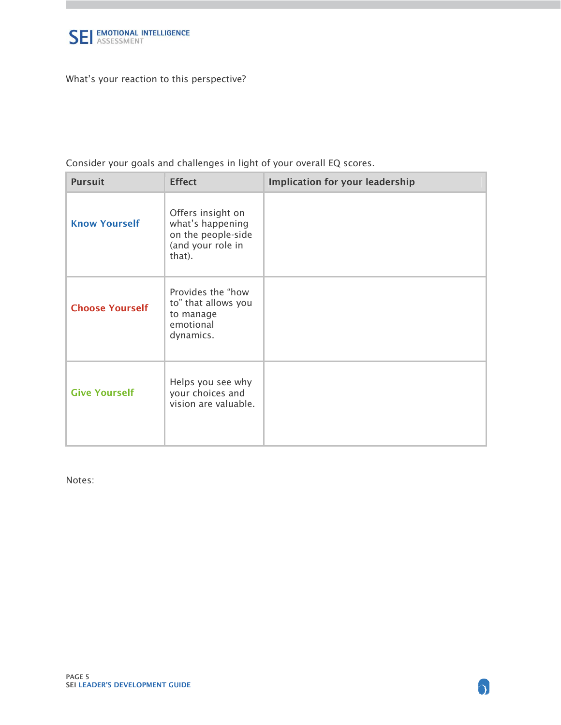

What's your reaction to this perspective?

Consider your goals and challenges in light of your overall EQ scores.

| <b>Pursuit</b>         | <b>Effect</b>                                                                              | <b>Implication for your leadership</b> |
|------------------------|--------------------------------------------------------------------------------------------|----------------------------------------|
| <b>Know Yourself</b>   | Offers insight on<br>what's happening<br>on the people-side<br>(and your role in<br>that). |                                        |
| <b>Choose Yourself</b> | Provides the "how<br>to" that allows you<br>to manage<br>emotional<br>dynamics.            |                                        |
| <b>Give Yourself</b>   | Helps you see why<br>your choices and<br>vision are valuable.                              |                                        |

Notes: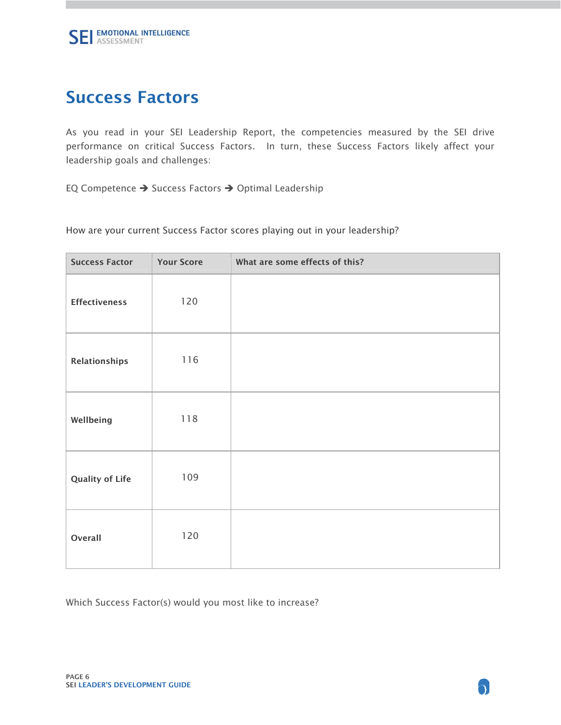## Success Factors

As you read in your SEI Leadership Report, the competencies measured by the SEI drive performance on critical Success Factors. In turn, these Success Factors likely affect your leadership goals and challenges:

EQ Competence  $\rightarrow$  Success Factors  $\rightarrow$  Optimal Leadership

How are your current Success Factor scores playing out in your leadership?

| <b>Success Factor</b>  | <b>Your Score</b> | What are some effects of this? |
|------------------------|-------------------|--------------------------------|
| <b>Effectiveness</b>   | 120               |                                |
| Relationships          | 116               |                                |
| Wellbeing              | 118               |                                |
| <b>Quality of Life</b> | 109               |                                |
| Overall                | 120               |                                |

Which Success Factor(s) would you most like to increase?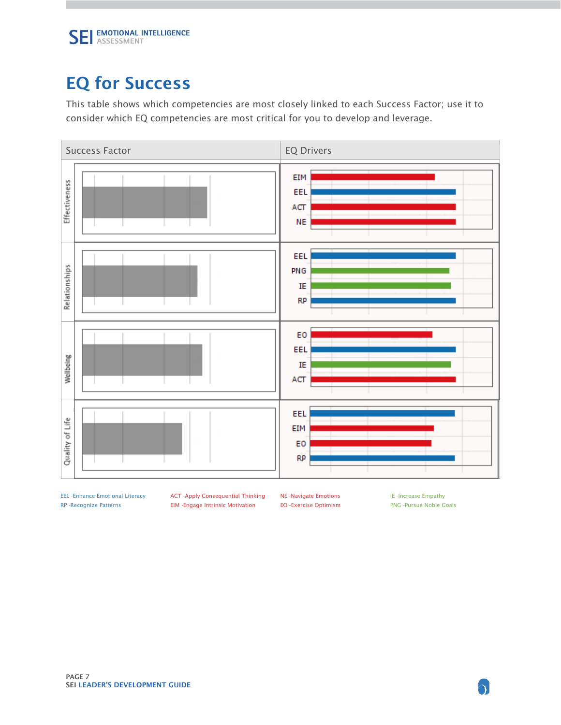# EQ for Success

This table shows which competencies are most closely linked to each Success Factor; use it to consider which EQ competencies are most critical for you to develop and leverage.



EEL -Enhance Emotional Literacy **ACT -Apply Consequential Thinking** NE -Navigate Emotions IE -Increase Empathy RP -Recognize Patterns EIM -Engage Intrinsic Motivation EO -Exercise Optimism PNG -Pursue Noble Goals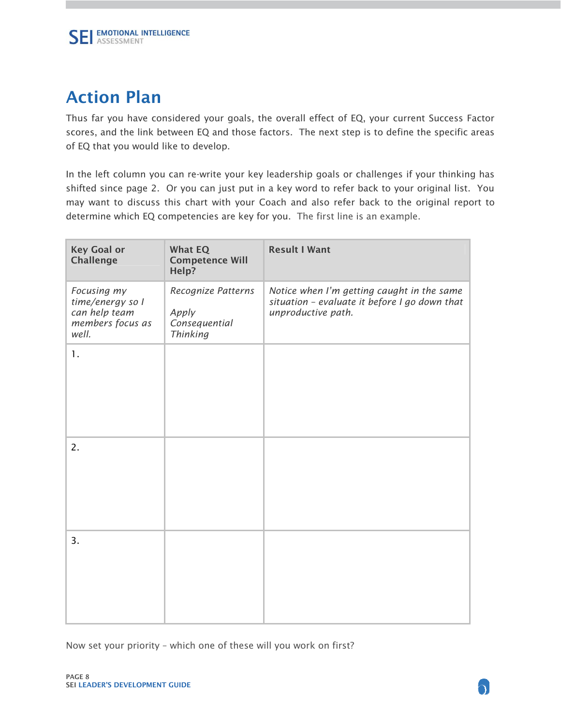# Action Plan

Thus far you have considered your goals, the overall effect of EQ, your current Success Factor scores, and the link between EQ and those factors. The next step is to define the specific areas of EQ that you would like to develop.

In the left column you can re-write your key leadership goals or challenges if your thinking has shifted since page 2. Or you can just put in a key word to refer back to your original list. You may want to discuss this chart with your Coach and also refer back to the original report to determine which EQ competencies are key for you. The first line is an example.

| <b>Key Goal or</b><br>Challenge                                               | <b>What EQ</b><br><b>Competence Will</b><br>Help?               | <b>Result I Want</b>                                                                                              |
|-------------------------------------------------------------------------------|-----------------------------------------------------------------|-------------------------------------------------------------------------------------------------------------------|
| Focusing my<br>time/energy so I<br>can help team<br>members focus as<br>well. | Recognize Patterns<br>Apply<br>Consequential<br><b>Thinking</b> | Notice when I'm getting caught in the same<br>situation - evaluate it before I go down that<br>unproductive path. |
| 1.                                                                            |                                                                 |                                                                                                                   |
| 2.                                                                            |                                                                 |                                                                                                                   |
| 3.                                                                            |                                                                 |                                                                                                                   |

Now set your priority – which one of these will you work on first?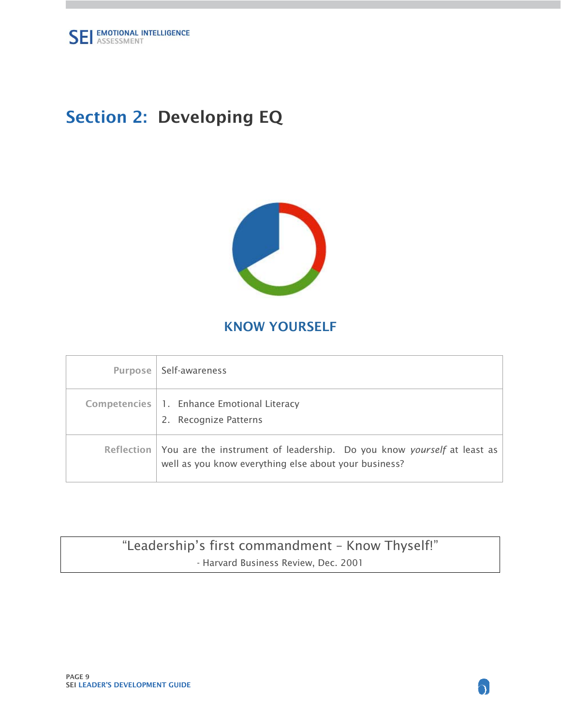<span id="page-8-0"></span>

# Section 2: Developing EQ



## KNOW YOURSELF

| Purpose      | Self-awareness                                                                                                                  |
|--------------|---------------------------------------------------------------------------------------------------------------------------------|
| Competencies | 1. Enhance Emotional Literacy<br>2. Recognize Patterns                                                                          |
| Reflection   | You are the instrument of leadership. Do you know yourself at least as<br>well as you know everything else about your business? |

## "Leadership's first commandment – Know Thyself!" - Harvard Business Review, Dec. 2001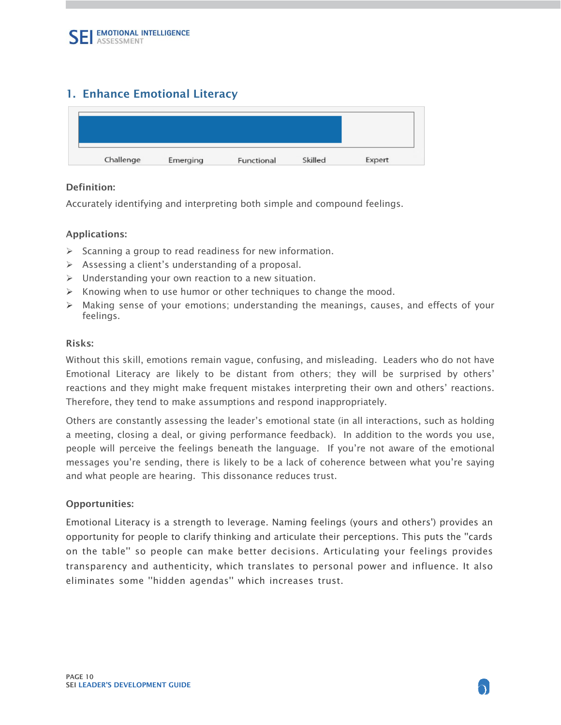### <span id="page-9-0"></span>1. Enhance Emotional Literacy

#### Definition:

Accurately identifying and interpreting both simple and compound feelings.

#### Applications:

- $\triangleright$  Scanning a group to read readiness for new information.
- $\triangleright$  Assessing a client's understanding of a proposal.
- $\triangleright$  Understanding your own reaction to a new situation.
- $\triangleright$  Knowing when to use humor or other techniques to change the mood.
- $\triangleright$  Making sense of your emotions; understanding the meanings, causes, and effects of your feelings.

#### Risks:

Without this skill, emotions remain vague, confusing, and misleading. Leaders who do not have Emotional Literacy are likely to be distant from others; they will be surprised by others' reactions and they might make frequent mistakes interpreting their own and others' reactions. Therefore, they tend to make assumptions and respond inappropriately.

Others are constantly assessing the leader's emotional state (in all interactions, such as holding a meeting, closing a deal, or giving performance feedback). In addition to the words you use, people will perceive the feelings beneath the language. If you're not aware of the emotional messages you're sending, there is likely to be a lack of coherence between what you're saying and what people are hearing. This dissonance reduces trust.

#### Opportunities:

 transparency and authenticity, which translates to personal power and influence. It also Emotional Literacy is a strength to leverage. Naming feelings (yours and others') provides an opportunity for people to clarify thinking and articulate their perceptions. This puts the ''cards on the table'' so people can make better decisions. Articulating your feelings provides eliminates some ''hidden agendas'' which increases trust.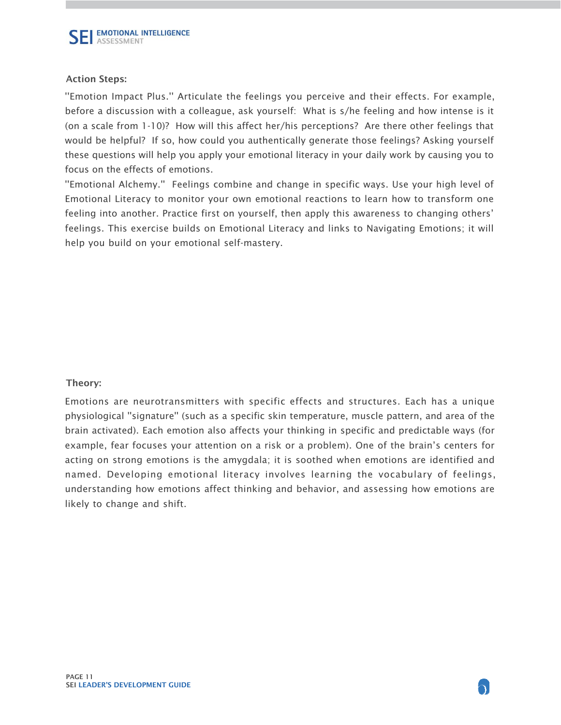''Emotion Impact Plus.'' Articulate the feelings you perceive and their effects. For example, before a discussion with a colleague, ask yourself: What is s/he feeling and how intense is it (on a scale from 1-10)? How will this affect her/his perceptions? Are there other feelings that would be helpful? If so, how could you authentically generate those feelings? Asking yourself these questions will help you apply your emotional literacy in your daily work by causing you to focus on the effects of emotions.

''Emotional Alchemy.'' Feelings combine and change in specific ways. Use your high level of Emotional Literacy to monitor your own emotional reactions to learn how to transform one feeling into another. Practice first on yourself, then apply this awareness to changing others' feelings. This exercise builds on Emotional Literacy and links to Navigating Emotions; it will help you build on your emotional self-mastery.

#### Theory:

Emotions are neurotransmitters with specific effects and structures. Each has a unique physiological ''signature'' (such as a specific skin temperature, muscle pattern, and area of the brain activated). Each emotion also affects your thinking in specific and predictable ways (for example, fear focuses your attention on a risk or a problem). One of the brain's centers for acting on strong emotions is the amygdala; it is soothed when emotions are identified and named. Developing emotional literacy involves learning the vocabulary of feelings, understanding how emotions affect thinking and behavior, and assessing how emotions are likely to change and shift.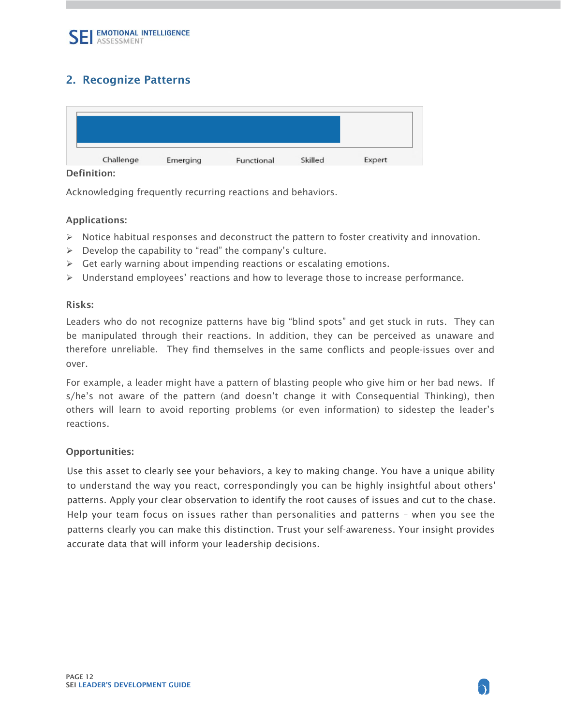### <span id="page-11-0"></span>2. Recognize Patterns

#### Definition:

Acknowledging frequently recurring reactions and behaviors.

#### Applications:

- $\triangleright$  Notice habitual responses and deconstruct the pattern to foster creativity and innovation.
- $\triangleright$  Develop the capability to "read" the company's culture.
- $\triangleright$  Get early warning about impending reactions or escalating emotions.
- $\triangleright$  Understand employees' reactions and how to leverage those to increase performance.

#### Risks:

Leaders who do not recognize patterns have big "blind spots" and get stuck in ruts. They can be manipulated through their reactions. In addition, they can be perceived as unaware and therefore unreliable. They find themselves in the same conflicts and people-issues over and over.

For example, a leader might have a pattern of blasting people who give him or her bad news. If s/he's not aware of the pattern (and doesn't change it with Consequential Thinking), then others will learn to avoid reporting problems (or even information) to sidestep the leader's reactions.

#### Opportunities:

 Help your team focus on issues rather than personalities and patterns – when you see the Use this asset to clearly see your behaviors, a key to making change. You have a unique ability to understand the way you react, correspondingly you can be highly insightful about others' patterns. Apply your clear observation to identify the root causes of issues and cut to the chase. patterns clearly you can make this distinction. Trust your self-awareness. Your insight provides accurate data that will inform your leadership decisions.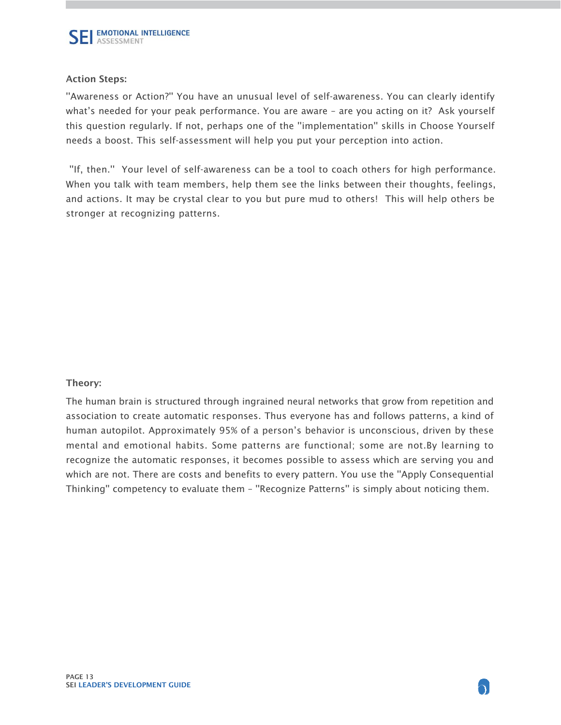''Awareness or Action?'' You have an unusual level of self-awareness. You can clearly identify what's needed for your peak performance. You are aware – are you acting on it? Ask yourself this question regularly. If not, perhaps one of the ''implementation'' skills in Choose Yourself needs a boost. This self-assessment will help you put your perception into action.

 ''If, then.'' Your level of self-awareness can be a tool to coach others for high performance. When you talk with team members, help them see the links between their thoughts, feelings, and actions. It may be crystal clear to you but pure mud to others! This will help others be stronger at recognizing patterns.

#### Theory:

The human brain is structured through ingrained neural networks that grow from repetition and association to create automatic responses. Thus everyone has and follows patterns, a kind of human autopilot. Approximately 95% of a person's behavior is unconscious, driven by these mental and emotional habits. Some patterns are functional; some are not.By learning to recognize the automatic responses, it becomes possible to assess which are serving you and which are not. There are costs and benefits to every pattern. You use the ''Apply Consequential Thinking'' competency to evaluate them – ''Recognize Patterns'' is simply about noticing them.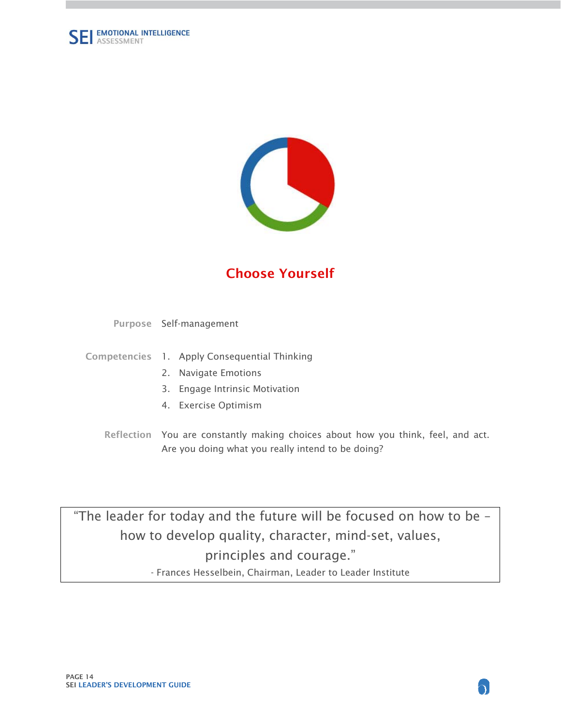<span id="page-13-0"></span>



## Choose Yourself

Purpose Self-management

- Competencies 1. Apply Consequential Thinking
	- 2. Navigate Emotions
	- 3. Engage Intrinsic Motivation
	- 4. Exercise Optimism
	- Reflection You are constantly making choices about how you think, feel, and act. Are you doing what you really intend to be doing?

 "The leader for today and the future will be focused on how to be – how to develop quality, character, mind-set, values, principles and courage." - Frances Hesselbein, Chairman, Leader to Leader Institute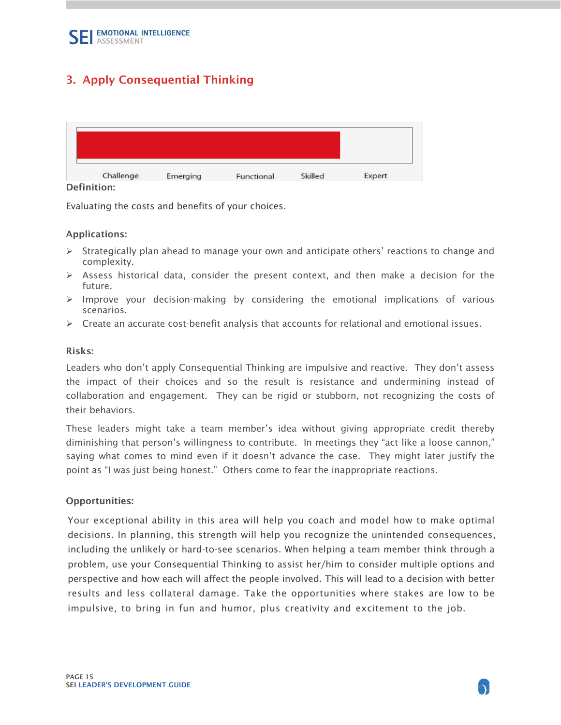### <span id="page-14-0"></span>3. Apply Consequential Thinking

Definition:

Evaluating the costs and benefits of your choices.

#### Applications:

- $\triangleright$  Strategically plan ahead to manage your own and anticipate others' reactions to change and complexity.
- $\triangleright$  Assess historical data, consider the present context, and then make a decision for the future.
- $\triangleright$  Improve your decision-making by considering the emotional implications of various scenarios.
- $\triangleright$  Create an accurate cost-benefit analysis that accounts for relational and emotional issues.

#### Risks:

Leaders who don't apply Consequential Thinking are impulsive and reactive. They don't assess the impact of their choices and so the result is resistance and undermining instead of collaboration and engagement. They can be rigid or stubborn, not recognizing the costs of their behaviors.

These leaders might take a team member's idea without giving appropriate credit thereby diminishing that person's willingness to contribute. In meetings they "act like a loose cannon," saying what comes to mind even if it doesn't advance the case. They might later justify the point as "I was just being honest." Others come to fear the inappropriate reactions.

#### Opportunities:

 perspective and how each will affect the people involved. This will lead to a decision with better Your exceptional ability in this area will help you coach and model how to make optimal decisions. In planning, this strength will help you recognize the unintended consequences, including the unlikely or hard-to-see scenarios. When helping a team member think through a problem, use your Consequential Thinking to assist her/him to consider multiple options and results and less collateral damage. Take the opportunities where stakes are low to be impulsive, to bring in fun and humor, plus creativity and excitement to the job.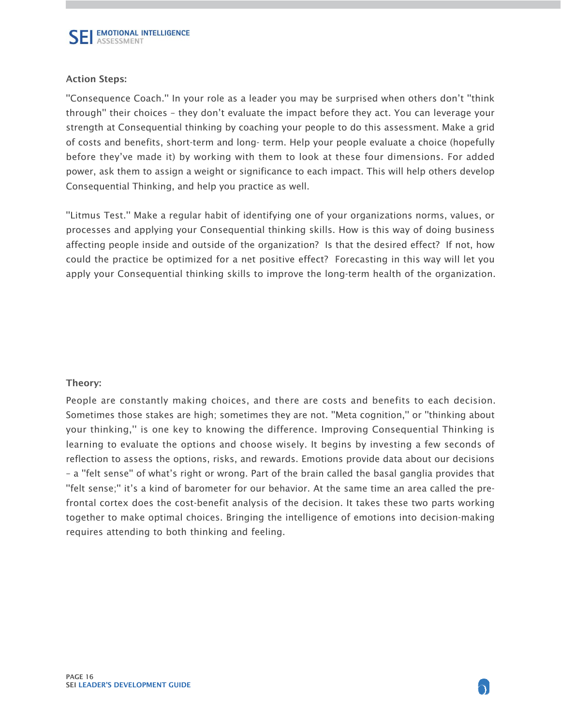''Consequence Coach.'' In your role as a leader you may be surprised when others don't ''think through'' their choices – they don't evaluate the impact before they act. You can leverage your strength at Consequential thinking by coaching your people to do this assessment. Make a grid of costs and benefits, short-term and long- term. Help your people evaluate a choice (hopefully before they've made it) by working with them to look at these four dimensions. For added power, ask them to assign a weight or significance to each impact. This will help others develop Consequential Thinking, and help you practice as well.

''Litmus Test.'' Make a regular habit of identifying one of your organizations norms, values, or processes and applying your Consequential thinking skills. How is this way of doing business affecting people inside and outside of the organization? Is that the desired effect? If not, how could the practice be optimized for a net positive effect? Forecasting in this way will let you apply your Consequential thinking skills to improve the long-term health of the organization.

#### Theory:

People are constantly making choices, and there are costs and benefits to each decision. Sometimes those stakes are high; sometimes they are not. ''Meta cognition,'' or ''thinking about your thinking,'' is one key to knowing the difference. Improving Consequential Thinking is learning to evaluate the options and choose wisely. It begins by investing a few seconds of reflection to assess the options, risks, and rewards. Emotions provide data about our decisions – a ''felt sense'' of what's right or wrong. Part of the brain called the basal ganglia provides that "felt sense;" it's a kind of barometer for our behavior. At the same time an area called the prefrontal cortex does the cost-benefit analysis of the decision. It takes these two parts working together to make optimal choices. Bringing the intelligence of emotions into decision-making requires attending to both thinking and feeling.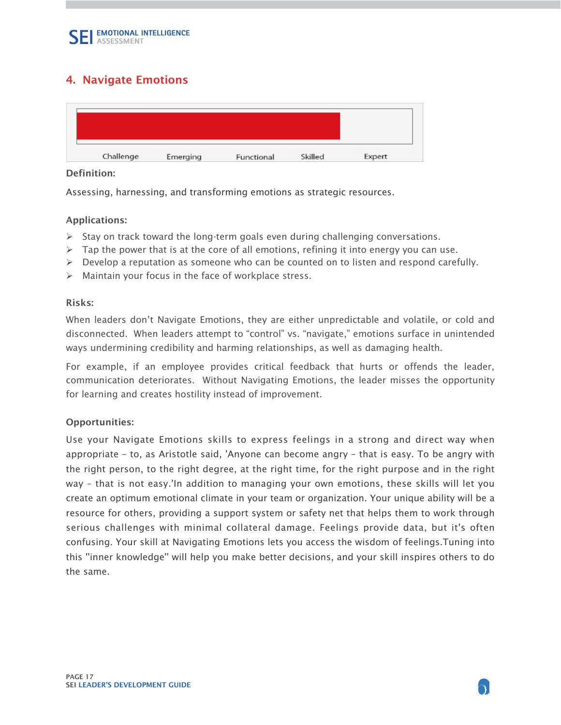### <span id="page-16-0"></span>4. Navigate Emotions

#### Definition:

Assessing, harnessing, and transforming emotions as strategic resources.

#### Applications:

- $\triangleright$  Stay on track toward the long-term goals even during challenging conversations.
- $\triangleright$  Tap the power that is at the core of all emotions, refining it into energy you can use.
- $\triangleright$  Develop a reputation as someone who can be counted on to listen and respond carefully.
- $\triangleright$  Maintain your focus in the face of workplace stress.

#### Risks:

When leaders don't Navigate Emotions, they are either unpredictable and volatile, or cold and disconnected. When leaders attempt to "control" vs. "navigate," emotions surface in unintended ways undermining credibility and harming relationships, as well as damaging health.

For example, if an employee provides critical feedback that hurts or offends the leader, communication deteriorates. Without Navigating Emotions, the leader misses the opportunity for learning and creates hostility instead of improvement.

#### Opportunities:

 way – that is not easy.'In addition to managing your own emotions, these skills will let you Use your Navigate Emotions skills to express feelings in a strong and direct way when appropriate – to, as Aristotle said, 'Anyone can become angry – that is easy. To be angry with the right person, to the right degree, at the right time, for the right purpose and in the right create an optimum emotional climate in your team or organization. Your unique ability will be a resource for others, providing a support system or safety net that helps them to work through serious challenges with minimal collateral damage. Feelings provide data, but it's often confusing. Your skill at Navigating Emotions lets you access the wisdom of feelings.Tuning into this ''inner knowledge'' will help you make better decisions, and your skill inspires others to do the same.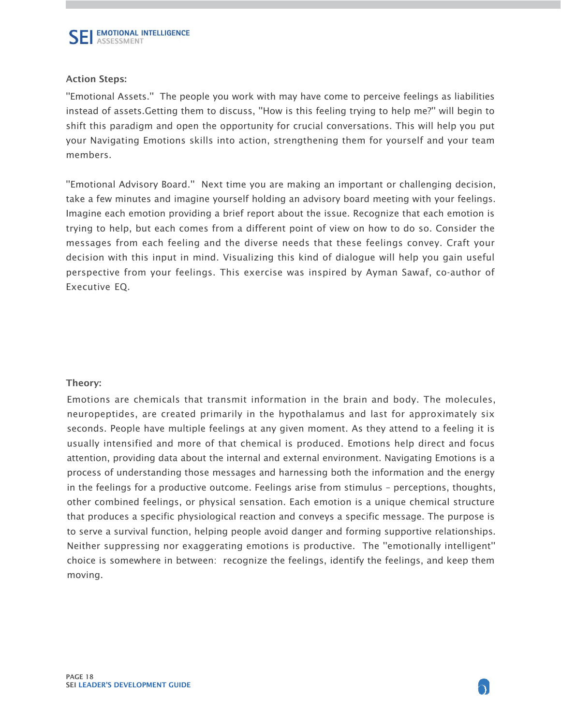''Emotional Assets.'' The people you work with may have come to perceive feelings as liabilities instead of assets.Getting them to discuss, ''How is this feeling trying to help me?'' will begin to shift this paradigm and open the opportunity for crucial conversations. This will help you put your Navigating Emotions skills into action, strengthening them for yourself and your team members.

''Emotional Advisory Board.'' Next time you are making an important or challenging decision, take a few minutes and imagine yourself holding an advisory board meeting with your feelings. Imagine each emotion providing a brief report about the issue. Recognize that each emotion is trying to help, but each comes from a different point of view on how to do so. Consider the messages from each feeling and the diverse needs that these feelings convey. Craft your decision with this input in mind. Visualizing this kind of dialogue will help you gain useful perspective from your feelings. This exercise was inspired by Ayman Sawaf, co-author of Executive EQ.

#### Theory:

Emotions are chemicals that transmit information in the brain and body. The molecules, neuropeptides, are created primarily in the hypothalamus and last for approximately six seconds. People have multiple feelings at any given moment. As they attend to a feeling it is usually intensified and more of that chemical is produced. Emotions help direct and focus attention, providing data about the internal and external environment. Navigating Emotions is a process of understanding those messages and harnessing both the information and the energy in the feelings for a productive outcome. Feelings arise from stimulus – perceptions, thoughts, other combined feelings, or physical sensation. Each emotion is a unique chemical structure that produces a specific physiological reaction and conveys a specific message. The purpose is to serve a survival function, helping people avoid danger and forming supportive relationships. Neither suppressing nor exaggerating emotions is productive. The ''emotionally intelligent'' choice is somewhere in between: recognize the feelings, identify the feelings, and keep them moving.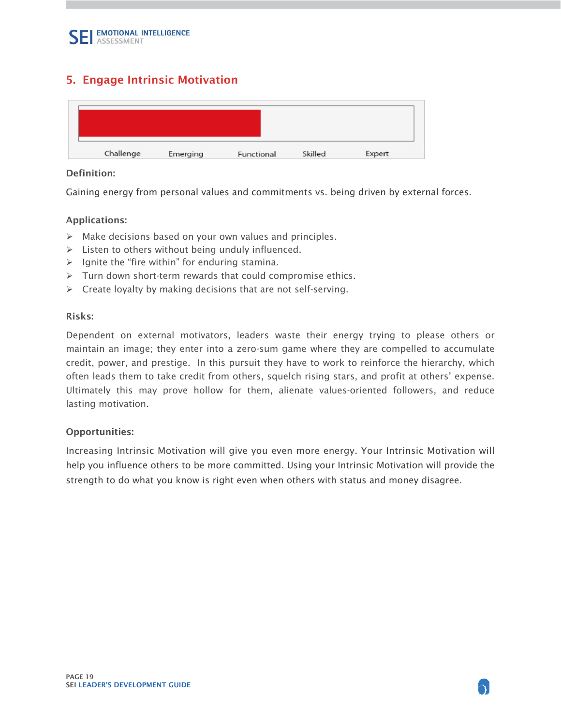### <span id="page-18-0"></span>5. Engage Intrinsic Motivation

#### Definition:

Gaining energy from personal values and commitments vs. being driven by external forces.

#### Applications:

- $\triangleright$  Make decisions based on your own values and principles.
- $\triangleright$  Listen to others without being unduly influenced.
- $\triangleright$  Ignite the "fire within" for enduring stamina.
- $\triangleright$  Turn down short-term rewards that could compromise ethics.
- $\triangleright$  Create loyalty by making decisions that are not self-serving.

#### Risks:

Dependent on external motivators, leaders waste their energy trying to please others or maintain an image; they enter into a zero-sum game where they are compelled to accumulate credit, power, and prestige. In this pursuit they have to work to reinforce the hierarchy, which often leads them to take credit from others, squelch rising stars, and profit at others' expense. Ultimately this may prove hollow for them, alienate values-oriented followers, and reduce lasting motivation.

#### Opportunities:

Increasing Intrinsic Motivation will give you even more energy. Your Intrinsic Motivation will help you influence others to be more committed. Using your Intrinsic Motivation will provide the strength to do what you know is right even when others with status and money disagree.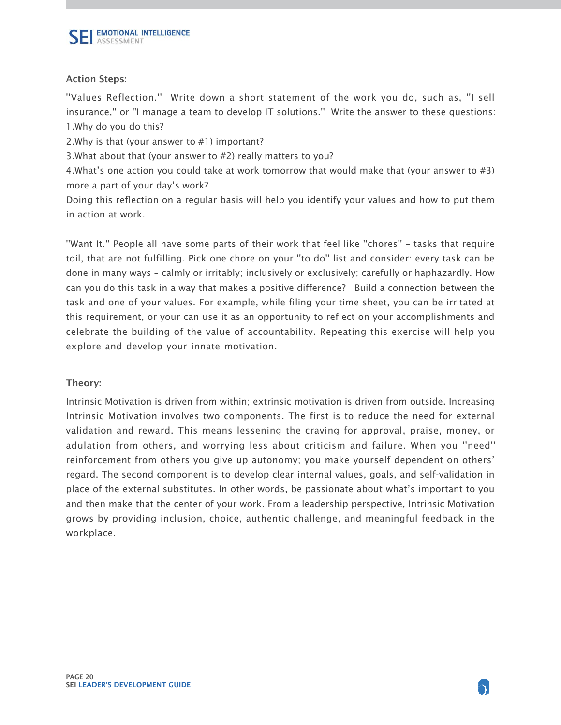''Values Reflection.'' Write down a short statement of the work you do, such as, ''I sell insurance,'' or ''I manage a team to develop IT solutions.'' Write the answer to these questions: 1.Why do you do this?

2.Why is that (your answer to #1) important?

3.What about that (your answer to #2) really matters to you?

4.What's one action you could take at work tomorrow that would make that (your answer to #3) more a part of your day's work?

Doing this reflection on a regular basis will help you identify your values and how to put them in action at work.

''Want It.'' People all have some parts of their work that feel like ''chores'' – tasks that require toil, that are not fulfilling. Pick one chore on your ''to do'' list and consider: every task can be done in many ways – calmly or irritably; inclusively or exclusively; carefully or haphazardly. How can you do this task in a way that makes a positive difference? Build a connection between the task and one of your values. For example, while filing your time sheet, you can be irritated at this requirement, or your can use it as an opportunity to reflect on your accomplishments and celebrate the building of the value of accountability. Repeating this exercise will help you explore and develop your innate motivation.

#### Theory:

Intrinsic Motivation is driven from within; extrinsic motivation is driven from outside. Increasing Intrinsic Motivation involves two components. The first is to reduce the need for external validation and reward. This means lessening the craving for approval, praise, money, or adulation from others, and worrying less about criticism and failure. When you ''need'' reinforcement from others you give up autonomy; you make yourself dependent on others' regard. The second component is to develop clear internal values, goals, and self-validation in place of the external substitutes. In other words, be passionate about what's important to you and then make that the center of your work. From a leadership perspective, Intrinsic Motivation grows by providing inclusion, choice, authentic challenge, and meaningful feedback in the workplace.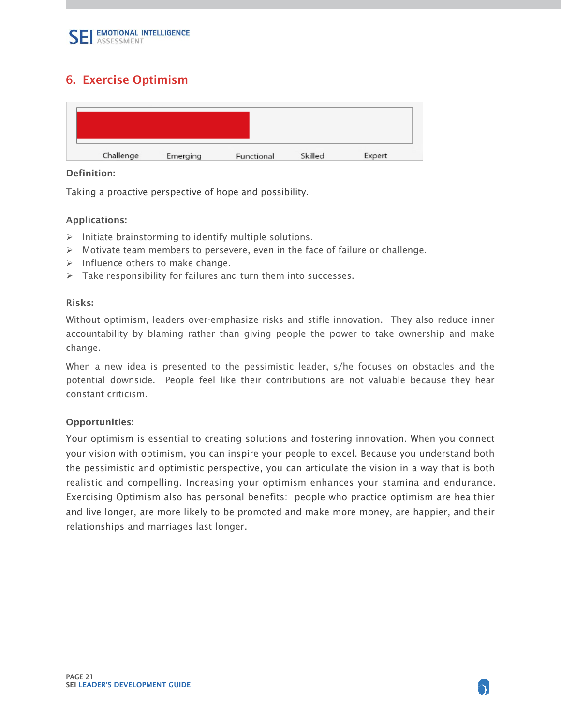### <span id="page-20-0"></span>6. Exercise Optimism

#### Definition:

Taking a proactive perspective of hope and possibility.

#### Applications:

- $\triangleright$  Initiate brainstorming to identify multiple solutions.
- $\triangleright$  Motivate team members to persevere, even in the face of failure or challenge.
- $\triangleright$  Influence others to make change.
- $\triangleright$  Take responsibility for failures and turn them into successes.

#### Risks:

Without optimism, leaders over-emphasize risks and stifle innovation. They also reduce inner accountability by blaming rather than giving people the power to take ownership and make change.

When a new idea is presented to the pessimistic leader, s/he focuses on obstacles and the potential downside. People feel like their contributions are not valuable because they hear constant criticism.

#### Opportunities:

 realistic and compelling. Increasing your optimism enhances your stamina and endurance. Your optimism is essential to creating solutions and fostering innovation. When you connect your vision with optimism, you can inspire your people to excel. Because you understand both the pessimistic and optimistic perspective, you can articulate the vision in a way that is both Exercising Optimism also has personal benefits: people who practice optimism are healthier and live longer, are more likely to be promoted and make more money, are happier, and their relationships and marriages last longer.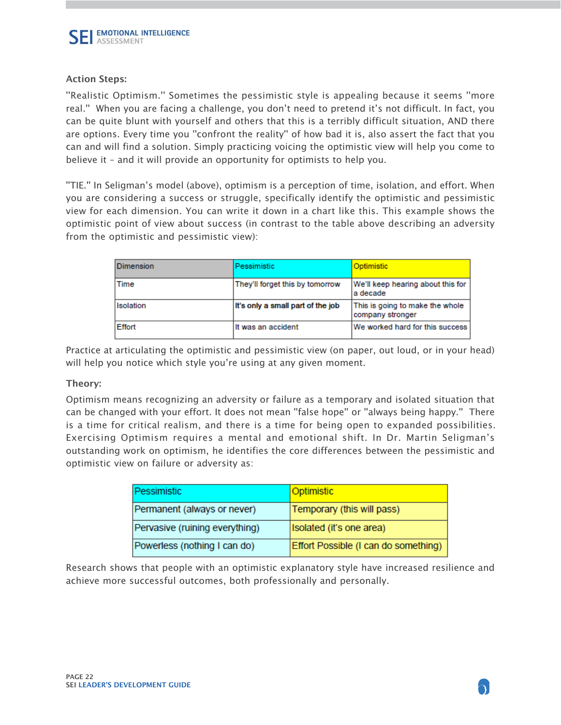''Realistic Optimism.'' Sometimes the pessimistic style is appealing because it seems ''more real.'' When you are facing a challenge, you don't need to pretend it's not difficult. In fact, you can be quite blunt with yourself and others that this is a terribly difficult situation, AND there are options. Every time you ''confront the reality'' of how bad it is, also assert the fact that you can and will find a solution. Simply practicing voicing the optimistic view will help you come to believe it – and it will provide an opportunity for optimists to help you.

''TIE.'' In Seligman's model (above), optimism is a perception of time, isolation, and effort. When you are considering a success or struggle, specifically identify the optimistic and pessimistic view for each dimension. You can write it down in a chart like this. This example shows the optimistic point of view about success (in contrast to the table above describing an adversity from the optimistic and pessimistic view):

| Dimension | Pessimistic                       | Optimistic                                          |
|-----------|-----------------------------------|-----------------------------------------------------|
| Time      | They'll forget this by tomorrow   | We'll keep hearing about this for<br>a decade       |
| Isolation | It's only a small part of the job | This is going to make the whole<br>company stronger |
| Effort    | It was an accident                | We worked hard for this success                     |

Practice at articulating the optimistic and pessimistic view (on paper, out loud, or in your head) will help you notice which style you're using at any given moment.

#### Theory:

Optimism means recognizing an adversity or failure as a temporary and isolated situation that can be changed with your effort. It does not mean ''false hope'' or ''always being happy.'' There is a time for critical realism, and there is a time for being open to expanded possibilities. Exercising Optimism requires a mental and emotional shift. In Dr. Martin Seligman's outstanding work on optimism, he identifies the core differences between the pessimistic and optimistic view on failure or adversity as:

| Pessimistic                    | Optimistic                           |
|--------------------------------|--------------------------------------|
| Permanent (always or never)    | Temporary (this will pass)           |
| Pervasive (ruining everything) | Isolated (it's one area)             |
| Powerless (nothing I can do)   | Effort Possible (I can do something) |

Research shows that people with an optimistic explanatory style have increased resilience and achieve more successful outcomes, both professionally and personally.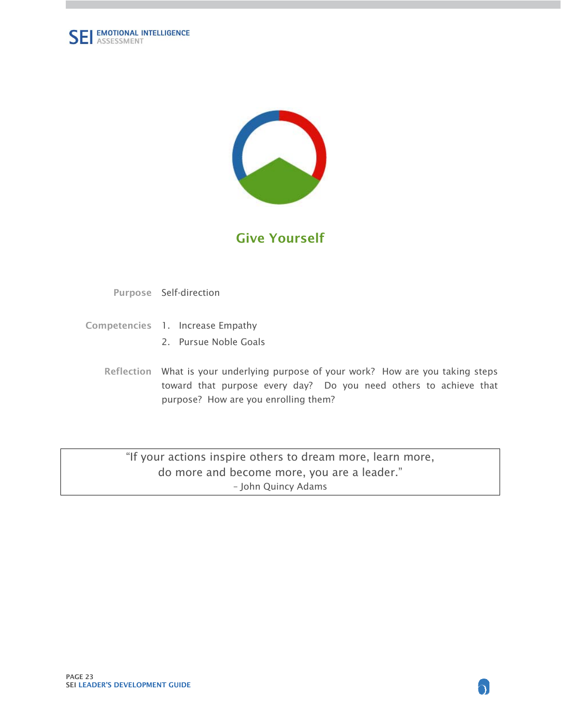<span id="page-22-0"></span>



## Give Yourself

Purpose Self-direction

- Competencies 1. Increase Empathy
	- 2. Pursue Noble Goals
	- Reflection What is your underlying purpose of your work? How are you taking steps toward that purpose every day? Do you need others to achieve that purpose? How are you enrolling them?

"If your actions inspire others to dream more, learn more, do more and become more, you are a leader." – John Quincy Adams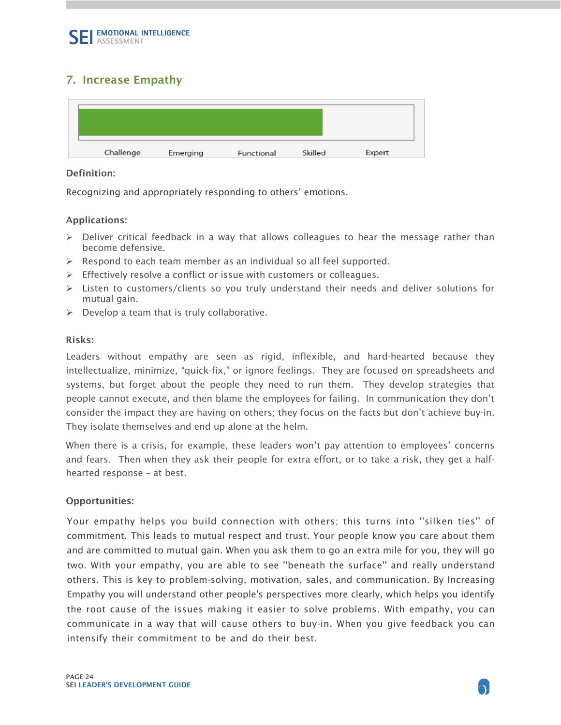### <span id="page-23-0"></span>7. Increase Empathy

#### Definition:

Recognizing and appropriately responding to others' emotions.

#### Applications:

- $\triangleright$  Deliver critical feedback in a way that allows colleagues to hear the message rather than become defensive.
- $\triangleright$  Respond to each team member as an individual so all feel supported.
- $\triangleright$  Effectively resolve a conflict or issue with customers or colleagues.
- $\triangleright$  Listen to customers/clients so you truly understand their needs and deliver solutions for mutual gain.
- $\triangleright$  Develop a team that is truly collaborative.

#### Risks:

Leaders without empathy are seen as rigid, inflexible, and hard-hearted because they intellectualize, minimize, "quick-fix," or ignore feelings. They are focused on spreadsheets and systems, but forget about the people they need to run them. They develop strategies that people cannot execute, and then blame the employees for failing. In communication they don't consider the impact they are having on others; they focus on the facts but don't achieve buy-in. They isolate themselves and end up alone at the helm.

When there is a crisis, for example, these leaders won't pay attention to employees' concerns and fears. Then when they ask their people for extra effort, or to take a risk, they get a halfhearted response – at best.

#### Opportunities:

 two. With your empathy, you are able to see ''beneath the surface'' and really understand Your empathy helps you build connection with others; this turns into ''silken ties'' of commitment. This leads to mutual respect and trust. Your people know you care about them and are committed to mutual gain. When you ask them to go an extra mile for you, they will go others. This is key to problem-solving, motivation, sales, and communication. By Increasing Empathy you will understand other people's perspectives more clearly, which helps you identify the root cause of the issues making it easier to solve problems. With empathy, you can communicate in a way that will cause others to buy-in. When you give feedback you can intensify their commitment to be and do their best.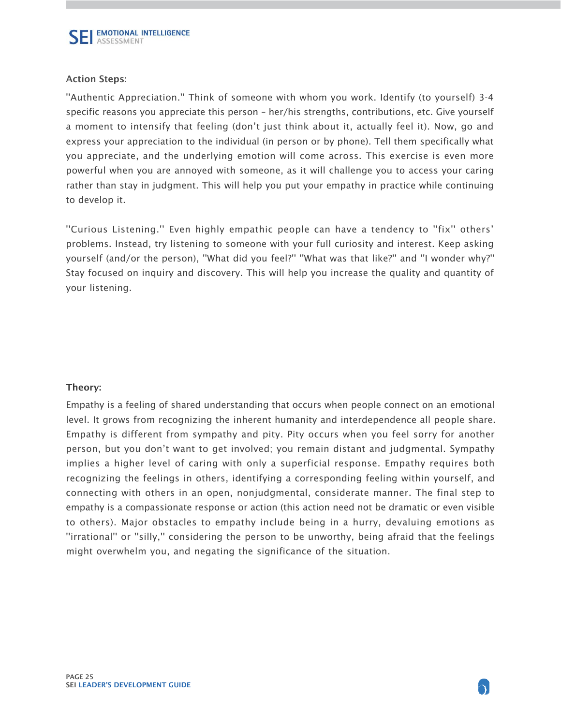''Authentic Appreciation.'' Think of someone with whom you work. Identify (to yourself) 3-4 specific reasons you appreciate this person – her/his strengths, contributions, etc. Give yourself a moment to intensify that feeling (don't just think about it, actually feel it). Now, go and express your appreciation to the individual (in person or by phone). Tell them specifically what you appreciate, and the underlying emotion will come across. This exercise is even more powerful when you are annoyed with someone, as it will challenge you to access your caring rather than stay in judgment. This will help you put your empathy in practice while continuing to develop it.

''Curious Listening.'' Even highly empathic people can have a tendency to ''fix'' others' problems. Instead, try listening to someone with your full curiosity and interest. Keep asking yourself (and/or the person), ''What did you feel?'' ''What was that like?'' and ''I wonder why?'' Stay focused on inquiry and discovery. This will help you increase the quality and quantity of your listening.

#### Theory:

Empathy is a feeling of shared understanding that occurs when people connect on an emotional level. It grows from recognizing the inherent humanity and interdependence all people share. Empathy is different from sympathy and pity. Pity occurs when you feel sorry for another person, but you don't want to get involved; you remain distant and judgmental. Sympathy implies a higher level of caring with only a superficial response. Empathy requires both recognizing the feelings in others, identifying a corresponding feeling within yourself, and connecting with others in an open, nonjudgmental, considerate manner. The final step to empathy is a compassionate response or action (this action need not be dramatic or even visible to others). Major obstacles to empathy include being in a hurry, devaluing emotions as ''irrational'' or ''silly,'' considering the person to be unworthy, being afraid that the feelings might overwhelm you, and negating the significance of the situation.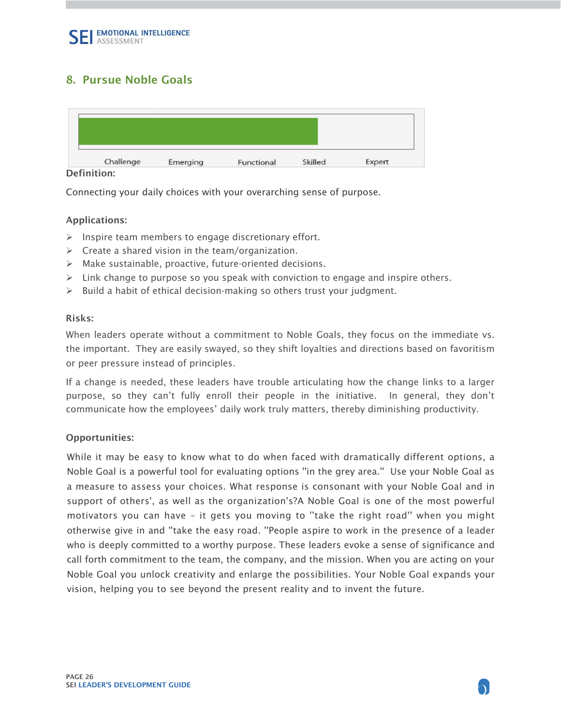### <span id="page-25-0"></span>8. Pursue Noble Goals

Definition:

Connecting your daily choices with your overarching sense of purpose.

#### Applications:

- $\triangleright$  Inspire team members to engage discretionary effort.
- $\triangleright$  Create a shared vision in the team/organization.
- $\triangleright$  Make sustainable, proactive, future-oriented decisions.
- $\triangleright$  Link change to purpose so you speak with conviction to engage and inspire others.
- $\triangleright$  Build a habit of ethical decision-making so others trust your judgment.

#### Risks:

When leaders operate without a commitment to Noble Goals, they focus on the immediate vs. the important. They are easily swayed, so they shift loyalties and directions based on favoritism or peer pressure instead of principles.

If a change is needed, these leaders have trouble articulating how the change links to a larger purpose, so they can't fully enroll their people in the initiative. In general, they don't communicate how the employees' daily work truly matters, thereby diminishing productivity.

#### Opportunities:

 support of others', as well as the organization's?A Noble Goal is one of the most powerful While it may be easy to know what to do when faced with dramatically different options, a Noble Goal is a powerful tool for evaluating options ''in the grey area.'' Use your Noble Goal as a measure to assess your choices. What response is consonant with your Noble Goal and in motivators you can have – it gets you moving to ''take the right road'' when you might otherwise give in and ''take the easy road. ''People aspire to work in the presence of a leader who is deeply committed to a worthy purpose. These leaders evoke a sense of significance and call forth commitment to the team, the company, and the mission. When you are acting on your Noble Goal you unlock creativity and enlarge the possibilities. Your Noble Goal expands your vision, helping you to see beyond the present reality and to invent the future.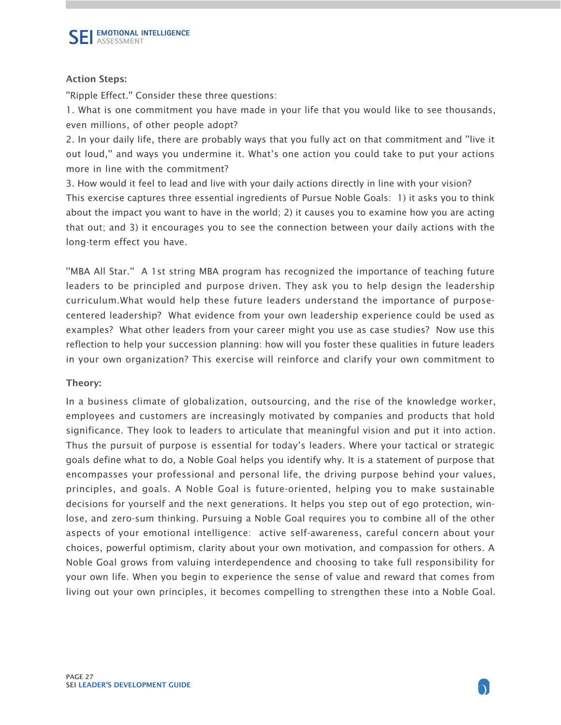''Ripple Effect.'' Consider these three questions:

1. What is one commitment you have made in your life that you would like to see thousands, even millions, of other people adopt?

2. In your daily life, there are probably ways that you fully act on that commitment and ''live it out loud,'' and ways you undermine it. What's one action you could take to put your actions more in line with the commitment?

3. How would it feel to lead and live with your daily actions directly in line with your vision? This exercise captures three essential ingredients of Pursue Noble Goals: 1) it asks you to think about the impact you want to have in the world; 2) it causes you to examine how you are acting that out; and 3) it encourages you to see the connection between your daily actions with the long-term effect you have.

''MBA All Star.'' A 1st string MBA program has recognized the importance of teaching future leaders to be principled and purpose driven. They ask you to help design the leadership curriculum.What would help these future leaders understand the importance of purposecentered leadership? What evidence from your own leadership experience could be used as examples? What other leaders from your career might you use as case studies? Now use this reflection to help your succession planning: how will you foster these qualities in future leaders in your own organization? This exercise will reinforce and clarify your own commitment to

#### Theory:

In a business climate of globalization, outsourcing, and the rise of the knowledge worker, employees and customers are increasingly motivated by companies and products that hold significance. They look to leaders to articulate that meaningful vision and put it into action. Thus the pursuit of purpose is essential for today's leaders. Where your tactical or strategic goals define what to do, a Noble Goal helps you identify why. It is a statement of purpose that encompasses your professional and personal life, the driving purpose behind your values, principles, and goals. A Noble Goal is future-oriented, helping you to make sustainable decisions for yourself and the next generations. It helps you step out of ego protection, winlose, and zero-sum thinking. Pursuing a Noble Goal requires you to combine all of the other aspects of your emotional intelligence: active self-awareness, careful concern about your choices, powerful optimism, clarity about your own motivation, and compassion for others. A Noble Goal grows from valuing interdependence and choosing to take full responsibility for your own life. When you begin to experience the sense of value and reward that comes from living out your own principles, it becomes compelling to strengthen these into a Noble Goal.